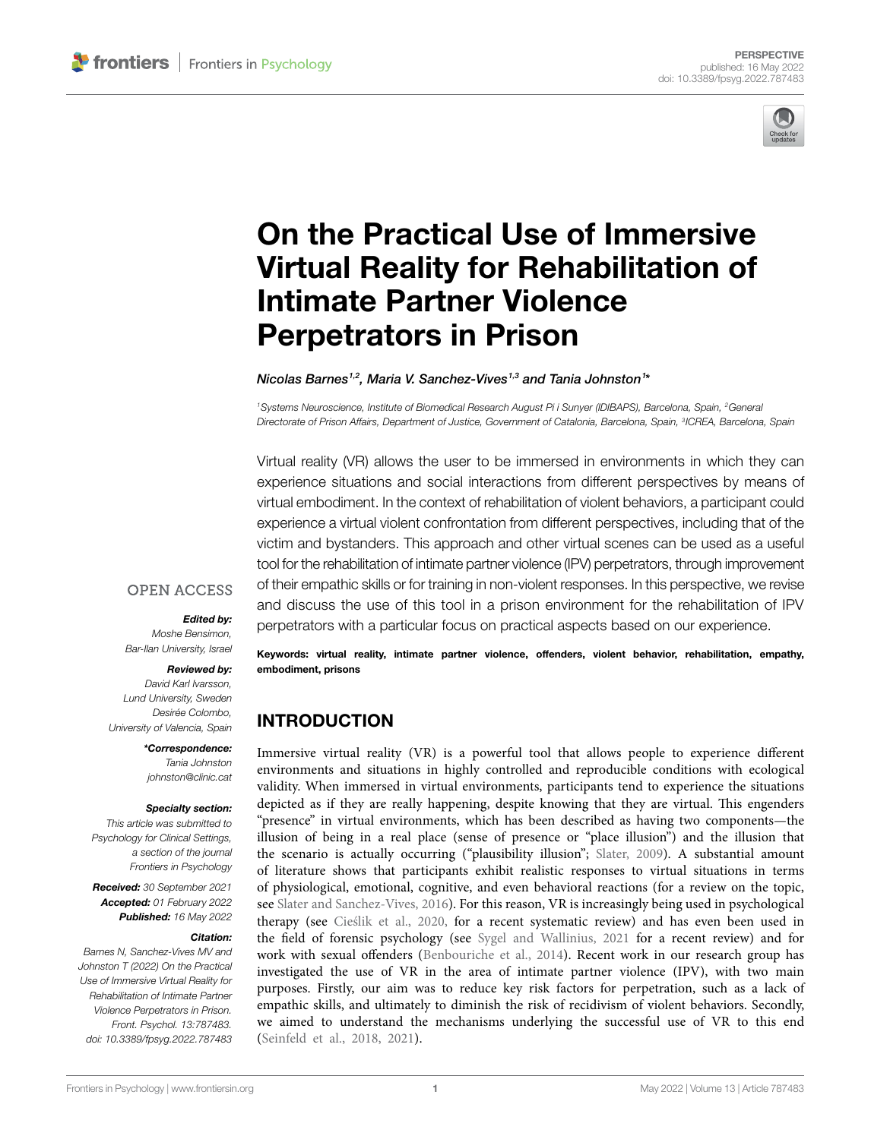

# [On the Practical Use of Immersive](https://www.frontiersin.org/articles/10.3389/fpsyg.2022.787483/full)  [Virtual Reality for Rehabilitation of](https://www.frontiersin.org/articles/10.3389/fpsyg.2022.787483/full)  [Intimate Partner Violence](https://www.frontiersin.org/articles/10.3389/fpsyg.2022.787483/full)  [Perpetrators in Prison](https://www.frontiersin.org/articles/10.3389/fpsyg.2022.787483/full)

*Nicolas Barnes1,2 , Maria V. Sanchez-Vives1,3 and Tania Johnston1 \**

*1Systems Neuroscience, Institute of Biomedical Research August Pi i Sunyer (IDIBAPS), Barcelona, Spain, 2General Directorate of Prison Affairs, Department of Justice, Government of Catalonia, Barcelona, Spain, 3ICREA, Barcelona, Spain*

Virtual reality (VR) allows the user to be immersed in environments in which they can experience situations and social interactions from different perspectives by means of virtual embodiment. In the context of rehabilitation of violent behaviors, a participant could experience a virtual violent confrontation from different perspectives, including that of the victim and bystanders. This approach and other virtual scenes can be used as a useful tool for the rehabilitation of intimate partner violence (IPV) perpetrators, through improvement of their empathic skills or for training in non-violent responses. In this perspective, we revise and discuss the use of this tool in a prison environment for the rehabilitation of IPV perpetrators with a particular focus on practical aspects based on our experience.

#### **OPEN ACCESS**

#### *Edited by:*

*Moshe Bensimon, Bar-Ilan University, Israel*

#### *Reviewed by:*

*David Karl Ivarsson, Lund University, Sweden Desirée Colombo, University of Valencia, Spain*

> *\*Correspondence: Tania Johnston [johnston@clinic.cat](mailto:johnston@clinic.cat)*

#### *Specialty section:*

*This article was submitted to Psychology for Clinical Settings, a section of the journal Frontiers in Psychology*

*Received: 30 September 2021 Accepted: 01 February 2022 Published: 16 May 2022*

#### *Citation:*

*Barnes N, Sanchez-Vives MV and Johnston T (2022) On the Practical Use of Immersive Virtual Reality for Rehabilitation of Intimate Partner Violence Perpetrators in Prison. Front. Psychol. 13:787483. [doi: 10.3389/fpsyg.2022.787483](https://doi.org/10.3389/fpsyg.2022.787483)* Keywords: virtual reality, intimate partner violence, offenders, violent behavior, rehabilitation, empathy, embodiment, prisons

# **INTRODUCTION**

Immersive virtual reality (VR) is a powerful tool that allows people to experience different environments and situations in highly controlled and reproducible conditions with ecological validity. When immersed in virtual environments, participants tend to experience the situations depicted as if they are really happening, despite knowing that they are virtual. This engenders "presence" in virtual environments, which has been described as having two components—the illusion of being in a real place (sense of presence or "place illusion") and the illusion that the scenario is actually occurring ("plausibility illusion"; [Slater, 2009](#page-8-0)). A substantial amount of literature shows that participants exhibit realistic responses to virtual situations in terms of physiological, emotional, cognitive, and even behavioral reactions (for a review on the topic, see [Slater and Sanchez-Vives, 2016\)](#page-8-1). For this reason, VR is increasingly being used in psychological therapy (see [Cieślik et al., 2020,](#page-7-0) for a recent systematic review) and has even been used in the field of forensic psychology (see [Sygel and Wallinius, 2021](#page-8-2) for a recent review) and for work with sexual offenders (Benbouriche et al., 2014). Recent work in our research group has investigated the use of VR in the area of intimate partner violence (IPV), with two main purposes. Firstly, our aim was to reduce key risk factors for perpetration, such as a lack of empathic skills, and ultimately to diminish the risk of recidivism of violent behaviors. Secondly, we aimed to understand the mechanisms underlying the successful use of VR to this end [\(Seinfeld et al., 2018,](#page-8-3) [2021](#page-8-4)).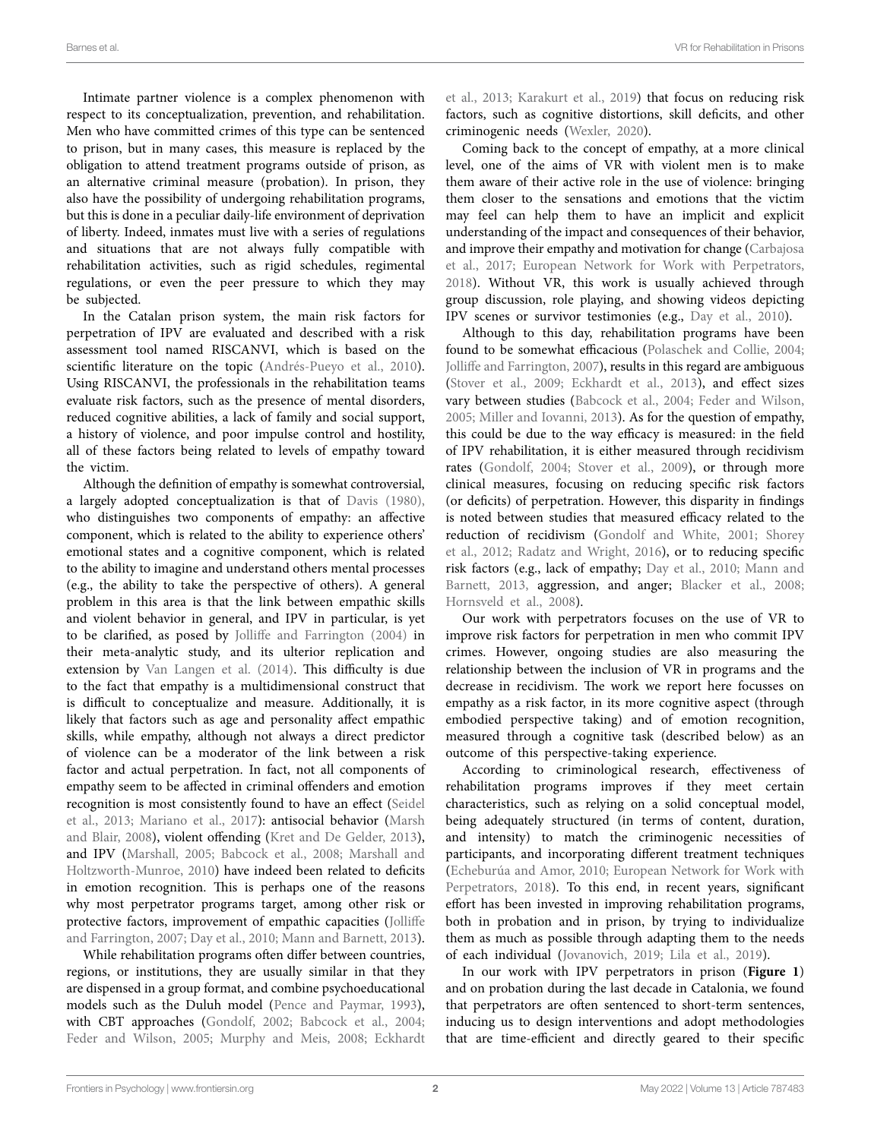Intimate partner violence is a complex phenomenon with respect to its conceptualization, prevention, and rehabilitation. Men who have committed crimes of this type can be sentenced to prison, but in many cases, this measure is replaced by the obligation to attend treatment programs outside of prison, as an alternative criminal measure (probation). In prison, they also have the possibility of undergoing rehabilitation programs, but this is done in a peculiar daily-life environment of deprivation of liberty. Indeed, inmates must live with a series of regulations and situations that are not always fully compatible with rehabilitation activities, such as rigid schedules, regimental regulations, or even the peer pressure to which they may be subjected.

In the Catalan prison system, the main risk factors for perpetration of IPV are evaluated and described with a risk assessment tool named RISCANVI, which is based on the scientific literature on the topic (Andrés-Pueyo et al., 2010). Using RISCANVI, the professionals in the rehabilitation teams evaluate risk factors, such as the presence of mental disorders, reduced cognitive abilities, a lack of family and social support, a history of violence, and poor impulse control and hostility, all of these factors being related to levels of empathy toward the victim.

Although the definition of empathy is somewhat controversial, a largely adopted conceptualization is that of [Davis \(1980\)](#page-7-3), who distinguishes two components of empathy: an affective component, which is related to the ability to experience others' emotional states and a cognitive component, which is related to the ability to imagine and understand others mental processes (e.g., the ability to take the perspective of others). A general problem in this area is that the link between empathic skills and violent behavior in general, and IPV in particular, is yet to be clarified, as posed by [Jolliffe and Farrington \(2004\)](#page-7-4) in their meta-analytic study, and its ulterior replication and extension by [Van Langen et al. \(2014\).](#page-8-5) This difficulty is due to the fact that empathy is a multidimensional construct that is difficult to conceptualize and measure. Additionally, it is likely that factors such as age and personality affect empathic skills, while empathy, although not always a direct predictor of violence can be a moderator of the link between a risk factor and actual perpetration. In fact, not all components of empathy seem to be affected in criminal offenders and emotion recognition is most consistently found to have an effect ([Seidel](#page-8-6)  [et al., 2013](#page-8-6); [Mariano et al., 2017](#page-8-7)): antisocial behavior [\(Marsh](#page-8-8)  [and Blair, 2008\)](#page-8-8), violent offending ([Kret and De Gelder, 2013](#page-7-5)), and IPV ([Marshall, 2005;](#page-8-9) [Babcock et al., 2008](#page-7-6); [Marshall and](#page-8-10)  [Holtzworth-Munroe, 2010\)](#page-8-10) have indeed been related to deficits in emotion recognition. This is perhaps one of the reasons why most perpetrator programs target, among other risk or protective factors, improvement of empathic capacities ([Jolliffe](#page-7-7)  [and Farrington, 2007;](#page-7-7) [Day et al., 2010](#page-7-8); [Mann and Barnett, 2013](#page-8-11)).

While rehabilitation programs often differ between countries, regions, or institutions, they are usually similar in that they are dispensed in a group format, and combine psychoeducational models such as the Duluh model [\(Pence and Paymar, 1993](#page-8-12)), with CBT approaches ([Gondolf, 2002;](#page-7-9) [Babcock et al., 2004](#page-7-10); [Feder and Wilson, 2005](#page-7-11); [Murphy and Meis, 2008;](#page-8-13) [Eckhardt](#page-7-12)  [et al., 2013](#page-7-12); [Karakurt et al., 2019](#page-7-13)) that focus on reducing risk factors, such as cognitive distortions, skill deficits, and other criminogenic needs [\(Wexler, 2020\)](#page-8-14).

Coming back to the concept of empathy, at a more clinical level, one of the aims of VR with violent men is to make them aware of their active role in the use of violence: bringing them closer to the sensations and emotions that the victim may feel can help them to have an implicit and explicit understanding of the impact and consequences of their behavior, and improve their empathy and motivation for change [\(Carbajosa](#page-7-14)  [et al., 2017;](#page-7-14) [European Network for Work with Perpetrators,](#page-7-15)  [2018\)](#page-7-15). Without VR, this work is usually achieved through group discussion, role playing, and showing videos depicting IPV scenes or survivor testimonies (e.g., [Day et al., 2010](#page-7-8)).

Although to this day, rehabilitation programs have been found to be somewhat efficacious ([Polaschek and Collie, 2004;](#page-8-15) [Jolliffe and Farrington, 2007\)](#page-7-7), results in this regard are ambiguous [\(Stover et al., 2009](#page-8-16); [Eckhardt et al., 2013\)](#page-7-12), and effect sizes vary between studies [\(Babcock et al., 2004](#page-7-10); [Feder and Wilson,](#page-7-11)  [2005;](#page-7-11) [Miller and Iovanni, 2013](#page-8-17)). As for the question of empathy, this could be due to the way efficacy is measured: in the field of IPV rehabilitation, it is either measured through recidivism rates ([Gondolf, 2004](#page-7-16); [Stover et al., 2009](#page-8-16)), or through more clinical measures, focusing on reducing specific risk factors (or deficits) of perpetration. However, this disparity in findings is noted between studies that measured efficacy related to the reduction of recidivism [\(Gondolf and White, 2001](#page-7-17); [Shorey](#page-8-18)  [et al., 2012](#page-8-18); [Radatz and Wright, 2016](#page-8-19)), or to reducing specific risk factors (e.g., lack of empathy; [Day et al., 2010;](#page-7-8) [Mann and](#page-8-11)  [Barnett, 2013](#page-8-11), aggression, and anger; [Blacker et al., 2008;](#page-7-18) [Hornsveld et al., 2008](#page-7-19)).

Our work with perpetrators focuses on the use of VR to improve risk factors for perpetration in men who commit IPV crimes. However, ongoing studies are also measuring the relationship between the inclusion of VR in programs and the decrease in recidivism. The work we report here focusses on empathy as a risk factor, in its more cognitive aspect (through embodied perspective taking) and of emotion recognition, measured through a cognitive task (described below) as an outcome of this perspective-taking experience.

According to criminological research, effectiveness of rehabilitation programs improves if they meet certain characteristics, such as relying on a solid conceptual model, being adequately structured (in terms of content, duration, and intensity) to match the criminogenic necessities of participants, and incorporating different treatment techniques [\(Echeburúa and Amor, 2010](#page-7-20); [European Network for Work with](#page-7-15)  [Perpetrators, 2018\)](#page-7-15). To this end, in recent years, significant effort has been invested in improving rehabilitation programs, both in probation and in prison, by trying to individualize them as much as possible through adapting them to the needs of each individual ([Jovanovich, 2019](#page-7-21); [Lila et al., 2019](#page-7-22)).

In our work with IPV perpetrators in prison (**[Figure 1](#page-2-0)**) and on probation during the last decade in Catalonia, we found that perpetrators are often sentenced to short-term sentences, inducing us to design interventions and adopt methodologies that are time-efficient and directly geared to their specific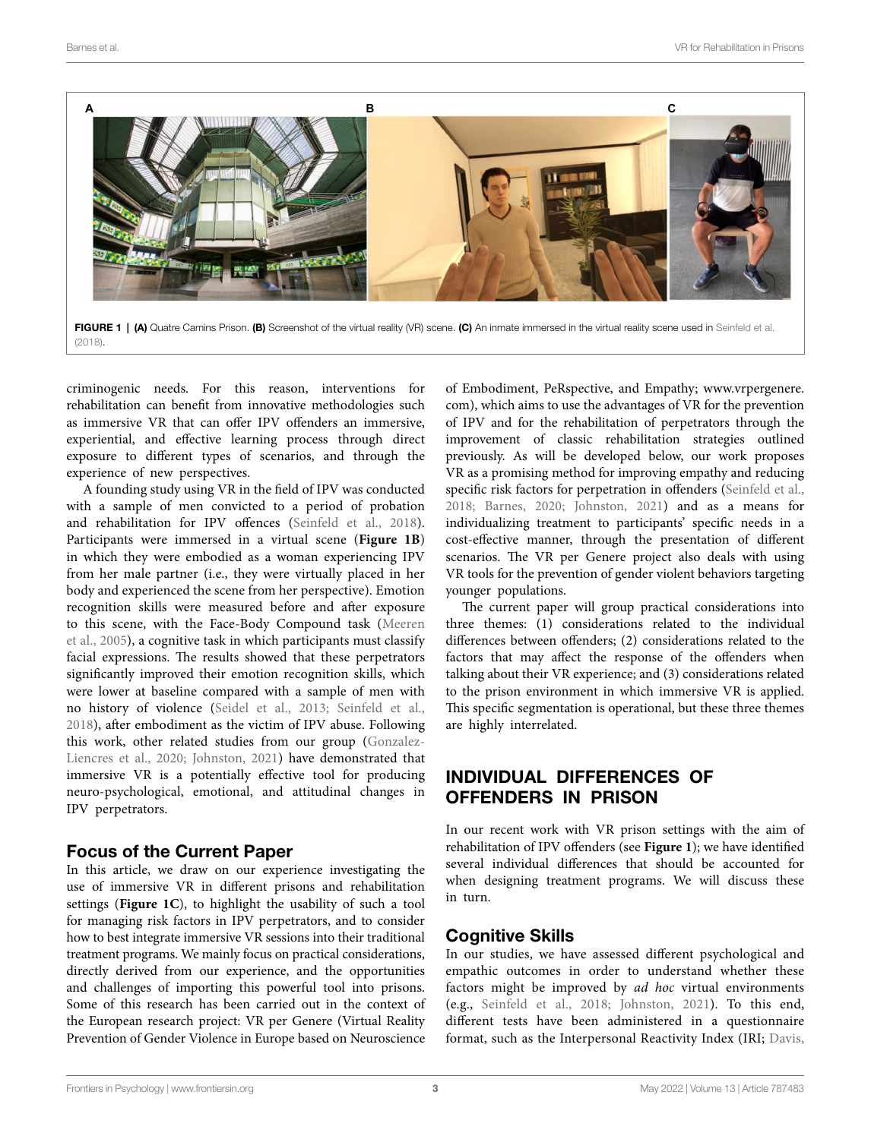<span id="page-2-0"></span>

FIGURE 1 | (A) Quatre Camins Prison. (B) Screenshot of the virtual reality (VR) scene. (C) An inmate immersed in the virtual reality scene used in Seinfeld et al. [\(2018\)](#page-8-3).

criminogenic needs. For this reason, interventions for rehabilitation can benefit from innovative methodologies such as immersive VR that can offer IPV offenders an immersive, experiential, and effective learning process through direct exposure to different types of scenarios, and through the experience of new perspectives.

A founding study using VR in the field of IPV was conducted with a sample of men convicted to a period of probation and rehabilitation for IPV offences ([Seinfeld et al., 2018](#page-8-3)). Participants were immersed in a virtual scene (**[Figure 1B](#page-2-0)**) in which they were embodied as a woman experiencing IPV from her male partner (i.e., they were virtually placed in her body and experienced the scene from her perspective). Emotion recognition skills were measured before and after exposure to this scene, with the Face-Body Compound task [\(Meeren](#page-8-20)  [et al., 2005\)](#page-8-20), a cognitive task in which participants must classify facial expressions. The results showed that these perpetrators significantly improved their emotion recognition skills, which were lower at baseline compared with a sample of men with no history of violence [\(Seidel et al., 2013;](#page-8-6) [Seinfeld et al.,](#page-8-3)  [2018\)](#page-8-3), after embodiment as the victim of IPV abuse. Following this work, other related studies from our group [\(Gonzalez-](#page-7-23)[Liencres et al., 2020](#page-7-23); [Johnston, 2021](#page-7-24)) have demonstrated that immersive VR is a potentially effective tool for producing neuro-psychological, emotional, and attitudinal changes in IPV perpetrators.

#### Focus of the Current Paper

In this article, we draw on our experience investigating the use of immersive VR in different prisons and rehabilitation settings (**[Figure 1C](#page-2-0)**), to highlight the usability of such a tool for managing risk factors in IPV perpetrators, and to consider how to best integrate immersive VR sessions into their traditional treatment programs. We mainly focus on practical considerations, directly derived from our experience, and the opportunities and challenges of importing this powerful tool into prisons. Some of this research has been carried out in the context of the European research project: VR per Genere (Virtual Reality Prevention of Gender Violence in Europe based on Neuroscience

of Embodiment, PeRspective, and Empathy; [www.vrpergenere.](http://www.vrpergenere.com) [com](http://www.vrpergenere.com)), which aims to use the advantages of VR for the prevention of IPV and for the rehabilitation of perpetrators through the improvement of classic rehabilitation strategies outlined previously. As will be developed below, our work proposes VR as a promising method for improving empathy and reducing specific risk factors for perpetration in offenders (Seinfeld et al., [2018;](#page-8-3) [Barnes, 2020](#page-7-25); [Johnston, 2021](#page-7-24)) and as a means for individualizing treatment to participants' specific needs in a cost-effective manner, through the presentation of different scenarios. The VR per Genere project also deals with using VR tools for the prevention of gender violent behaviors targeting younger populations.

The current paper will group practical considerations into three themes: (1) considerations related to the individual differences between offenders; (2) considerations related to the factors that may affect the response of the offenders when talking about their VR experience; and (3) considerations related to the prison environment in which immersive VR is applied. This specific segmentation is operational, but these three themes are highly interrelated.

# INDIVIDUAL DIFFERENCES OF OFFENDERS IN PRISON

In our recent work with VR prison settings with the aim of rehabilitation of IPV offenders (see **[Figure 1](#page-2-0)**); we have identified several individual differences that should be accounted for when designing treatment programs. We will discuss these in turn.

## Cognitive Skills

In our studies, we have assessed different psychological and empathic outcomes in order to understand whether these factors might be improved by *ad hoc* virtual environments (e.g., [Seinfeld et al., 2018;](#page-8-3) [Johnston, 2021](#page-7-24)). To this end, different tests have been administered in a questionnaire format, such as the Interpersonal Reactivity Index (IRI; [Davis,](#page-7-3)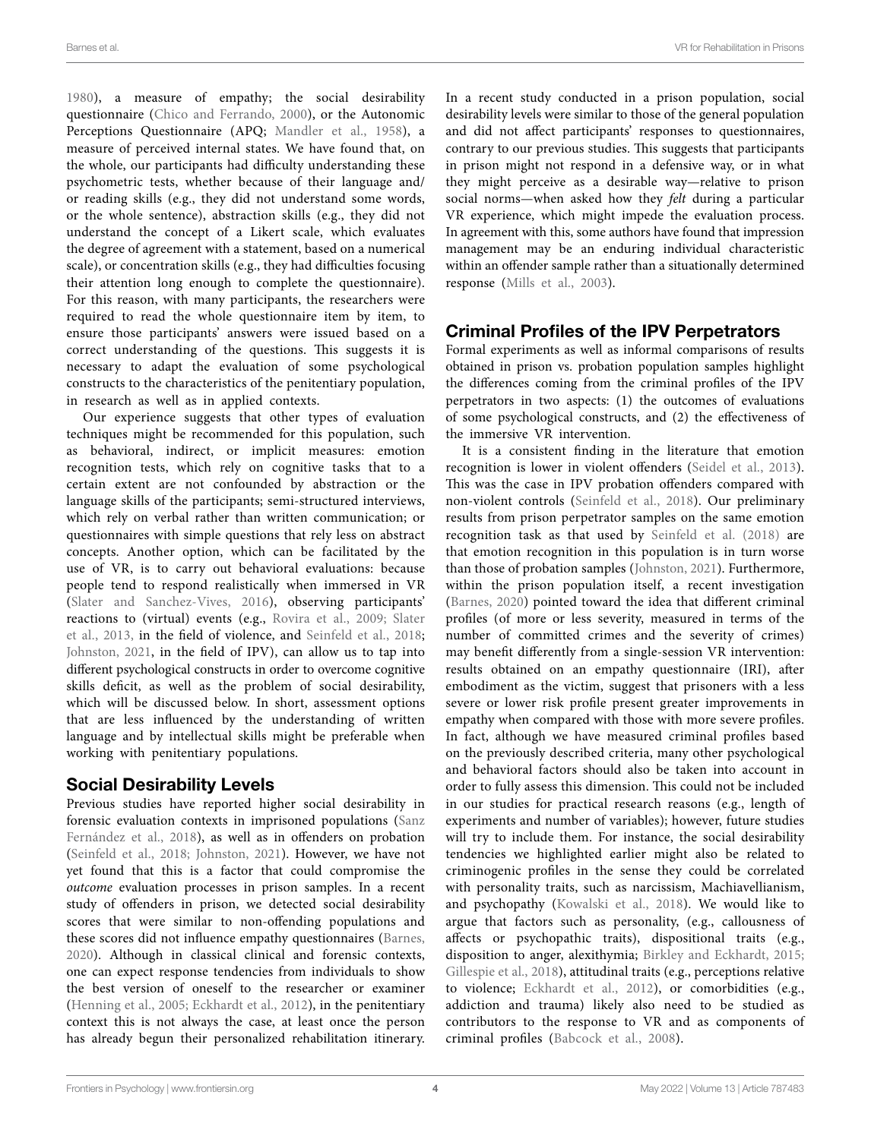[1980\)](#page-7-3), a measure of empathy; the social desirability questionnaire [\(Chico and Ferrando, 2000](#page-7-26)), or the Autonomic Perceptions Questionnaire (APQ; [Mandler et al., 1958](#page-8-21)), a measure of perceived internal states. We have found that, on the whole, our participants had difficulty understanding these psychometric tests, whether because of their language and/ or reading skills (e.g., they did not understand some words, or the whole sentence), abstraction skills (e.g., they did not understand the concept of a Likert scale, which evaluates the degree of agreement with a statement, based on a numerical scale), or concentration skills (e.g., they had difficulties focusing their attention long enough to complete the questionnaire). For this reason, with many participants, the researchers were required to read the whole questionnaire item by item, to ensure those participants' answers were issued based on a correct understanding of the questions. This suggests it is necessary to adapt the evaluation of some psychological constructs to the characteristics of the penitentiary population, in research as well as in applied contexts.

Our experience suggests that other types of evaluation techniques might be recommended for this population, such as behavioral, indirect, or implicit measures: emotion recognition tests, which rely on cognitive tasks that to a certain extent are not confounded by abstraction or the language skills of the participants; semi-structured interviews, which rely on verbal rather than written communication; or questionnaires with simple questions that rely less on abstract concepts. Another option, which can be facilitated by the use of VR, is to carry out behavioral evaluations: because people tend to respond realistically when immersed in VR ([Slater and Sanchez-Vives, 2016\)](#page-8-1), observing participants' reactions to (virtual) events (e.g., [Rovira et al., 2009](#page-8-22); [Slater](#page-8-23)  [et al., 2013](#page-8-23), in the field of violence, and [Seinfeld et al., 2018](#page-8-3); [Johnston, 2021](#page-7-24), in the field of IPV), can allow us to tap into different psychological constructs in order to overcome cognitive skills deficit, as well as the problem of social desirability, which will be discussed below. In short, assessment options that are less influenced by the understanding of written language and by intellectual skills might be preferable when working with penitentiary populations.

# Social Desirability Levels

Previous studies have reported higher social desirability in forensic evaluation contexts in imprisoned populations ([Sanz](#page-8-24)  Fernández et al., 2018), as well as in offenders on probation ([Seinfeld et al., 2018;](#page-8-3) [Johnston, 2021](#page-7-24)). However, we have not yet found that this is a factor that could compromise the *outcome* evaluation processes in prison samples. In a recent study of offenders in prison, we detected social desirability scores that were similar to non-offending populations and these scores did not influence empathy questionnaires [\(Barnes,](#page-7-25)  [2020\)](#page-7-25). Although in classical clinical and forensic contexts, one can expect response tendencies from individuals to show the best version of oneself to the researcher or examiner ([Henning et al., 2005;](#page-7-27) [Eckhardt et al., 2012\)](#page-7-28), in the penitentiary context this is not always the case, at least once the person has already begun their personalized rehabilitation itinerary. In a recent study conducted in a prison population, social desirability levels were similar to those of the general population and did not affect participants' responses to questionnaires, contrary to our previous studies. This suggests that participants in prison might not respond in a defensive way, or in what they might perceive as a desirable way—relative to prison social norms—when asked how they *felt* during a particular VR experience, which might impede the evaluation process. In agreement with this, some authors have found that impression management may be an enduring individual characteristic within an offender sample rather than a situationally determined response [\(Mills et al., 2003](#page-8-25)).

# Criminal Profiles of the IPV Perpetrators

Formal experiments as well as informal comparisons of results obtained in prison vs. probation population samples highlight the differences coming from the criminal profiles of the IPV perpetrators in two aspects: (1) the outcomes of evaluations of some psychological constructs, and (2) the effectiveness of the immersive VR intervention.

It is a consistent finding in the literature that emotion recognition is lower in violent offenders [\(Seidel et al., 2013](#page-8-6)). This was the case in IPV probation offenders compared with non-violent controls [\(Seinfeld et al., 2018](#page-8-3)). Our preliminary results from prison perpetrator samples on the same emotion recognition task as that used by [Seinfeld et al. \(2018\)](#page-8-3) are that emotion recognition in this population is in turn worse than those of probation samples ([Johnston, 2021](#page-7-24)). Furthermore, within the prison population itself, a recent investigation [\(Barnes, 2020](#page-7-25)) pointed toward the idea that different criminal profiles (of more or less severity, measured in terms of the number of committed crimes and the severity of crimes) may benefit differently from a single-session VR intervention: results obtained on an empathy questionnaire (IRI), after embodiment as the victim, suggest that prisoners with a less severe or lower risk profile present greater improvements in empathy when compared with those with more severe profiles. In fact, although we have measured criminal profiles based on the previously described criteria, many other psychological and behavioral factors should also be taken into account in order to fully assess this dimension. This could not be included in our studies for practical research reasons (e.g., length of experiments and number of variables); however, future studies will try to include them. For instance, the social desirability tendencies we highlighted earlier might also be related to criminogenic profiles in the sense they could be correlated with personality traits, such as narcissism, Machiavellianism, and psychopathy ([Kowalski et al., 2018](#page-7-29)). We would like to argue that factors such as personality, (e.g., callousness of affects or psychopathic traits), dispositional traits (e.g., disposition to anger, alexithymia; [Birkley and Eckhardt, 2015;](#page-7-30) [Gillespie et al., 2018\)](#page-7-31), attitudinal traits (e.g., perceptions relative to violence; [Eckhardt et al., 2012\)](#page-7-28), or comorbidities (e.g., addiction and trauma) likely also need to be studied as contributors to the response to VR and as components of criminal profiles ([Babcock et al., 2008\)](#page-7-6).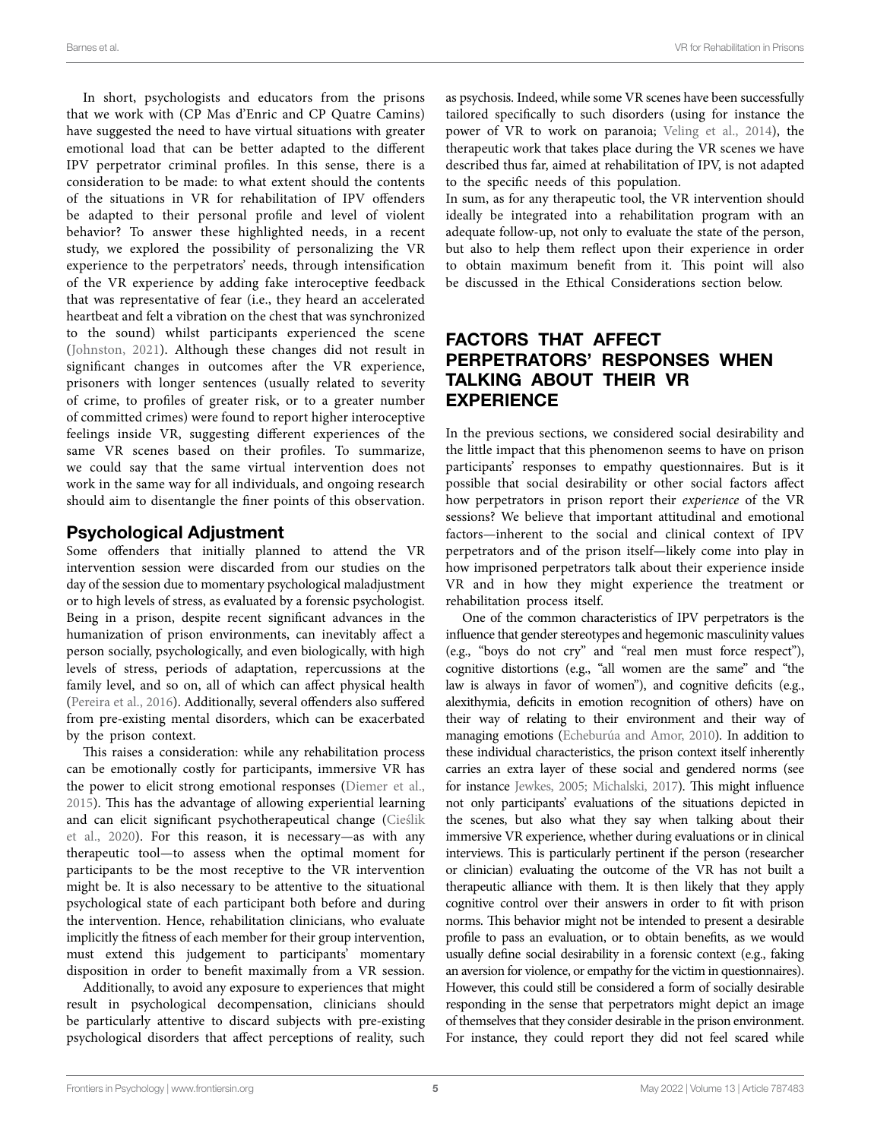In short, psychologists and educators from the prisons that we work with (CP Mas d'Enric and CP Quatre Camins) have suggested the need to have virtual situations with greater emotional load that can be better adapted to the different IPV perpetrator criminal profiles. In this sense, there is a consideration to be made: to what extent should the contents of the situations in VR for rehabilitation of IPV offenders be adapted to their personal profile and level of violent behavior? To answer these highlighted needs, in a recent study, we explored the possibility of personalizing the VR experience to the perpetrators' needs, through intensification of the VR experience by adding fake interoceptive feedback that was representative of fear (i.e., they heard an accelerated heartbeat and felt a vibration on the chest that was synchronized to the sound) whilst participants experienced the scene ([Johnston, 2021](#page-7-24)). Although these changes did not result in significant changes in outcomes after the VR experience, prisoners with longer sentences (usually related to severity of crime, to profiles of greater risk, or to a greater number of committed crimes) were found to report higher interoceptive feelings inside VR, suggesting different experiences of the same VR scenes based on their profiles. To summarize, we could say that the same virtual intervention does not work in the same way for all individuals, and ongoing research should aim to disentangle the finer points of this observation.

## Psychological Adjustment

Some offenders that initially planned to attend the VR intervention session were discarded from our studies on the day of the session due to momentary psychological maladjustment or to high levels of stress, as evaluated by a forensic psychologist. Being in a prison, despite recent significant advances in the humanization of prison environments, can inevitably affect a person socially, psychologically, and even biologically, with high levels of stress, periods of adaptation, repercussions at the family level, and so on, all of which can affect physical health ([Pereira et al., 2016](#page-8-26)). Additionally, several offenders also suffered from pre-existing mental disorders, which can be exacerbated by the prison context.

This raises a consideration: while any rehabilitation process can be emotionally costly for participants, immersive VR has the power to elicit strong emotional responses [\(Diemer et al.,](#page-7-32)  [2015\)](#page-7-32). This has the advantage of allowing experiential learning and can elicit significant psychotherapeutical change [\(Cieślik](#page-7-0)  [et al., 2020](#page-7-0)). For this reason, it is necessary—as with any therapeutic tool—to assess when the optimal moment for participants to be the most receptive to the VR intervention might be. It is also necessary to be attentive to the situational psychological state of each participant both before and during the intervention. Hence, rehabilitation clinicians, who evaluate implicitly the fitness of each member for their group intervention, must extend this judgement to participants' momentary disposition in order to benefit maximally from a VR session.

Additionally, to avoid any exposure to experiences that might result in psychological decompensation, clinicians should be particularly attentive to discard subjects with pre-existing psychological disorders that affect perceptions of reality, such as psychosis. Indeed, while some VR scenes have been successfully tailored specifically to such disorders (using for instance the power of VR to work on paranoia; [Veling et al., 2014\)](#page-8-27), the therapeutic work that takes place during the VR scenes we have described thus far, aimed at rehabilitation of IPV, is not adapted to the specific needs of this population.

In sum, as for any therapeutic tool, the VR intervention should ideally be integrated into a rehabilitation program with an adequate follow-up, not only to evaluate the state of the person, but also to help them reflect upon their experience in order to obtain maximum benefit from it. This point will also be discussed in the Ethical Considerations section below.

# FACTORS THAT AFFECT PERPETRATORS' RESPONSES WHEN TALKING ABOUT THEIR VR EXPERIENCE

In the previous sections, we considered social desirability and the little impact that this phenomenon seems to have on prison participants' responses to empathy questionnaires. But is it possible that social desirability or other social factors affect how perpetrators in prison report their *experience* of the VR sessions? We believe that important attitudinal and emotional factors—inherent to the social and clinical context of IPV perpetrators and of the prison itself—likely come into play in how imprisoned perpetrators talk about their experience inside VR and in how they might experience the treatment or rehabilitation process itself.

One of the common characteristics of IPV perpetrators is the influence that gender stereotypes and hegemonic masculinity values (e.g., "boys do not cry" and "real men must force respect"), cognitive distortions (e.g., "all women are the same" and "the law is always in favor of women"), and cognitive deficits (e.g., alexithymia, deficits in emotion recognition of others) have on their way of relating to their environment and their way of managing emotions ([Echeburúa and Amor, 2010\)](#page-7-20). In addition to these individual characteristics, the prison context itself inherently carries an extra layer of these social and gendered norms (see for instance [Jewkes, 2005;](#page-7-33) [Michalski, 2017](#page-8-28)). This might influence not only participants' evaluations of the situations depicted in the scenes, but also what they say when talking about their immersive VR experience, whether during evaluations or in clinical interviews. This is particularly pertinent if the person (researcher or clinician) evaluating the outcome of the VR has not built a therapeutic alliance with them. It is then likely that they apply cognitive control over their answers in order to fit with prison norms. This behavior might not be intended to present a desirable profile to pass an evaluation, or to obtain benefits, as we would usually define social desirability in a forensic context (e.g., faking an aversion for violence, or empathy for the victim in questionnaires). However, this could still be considered a form of socially desirable responding in the sense that perpetrators might depict an image of themselves that they consider desirable in the prison environment. For instance, they could report they did not feel scared while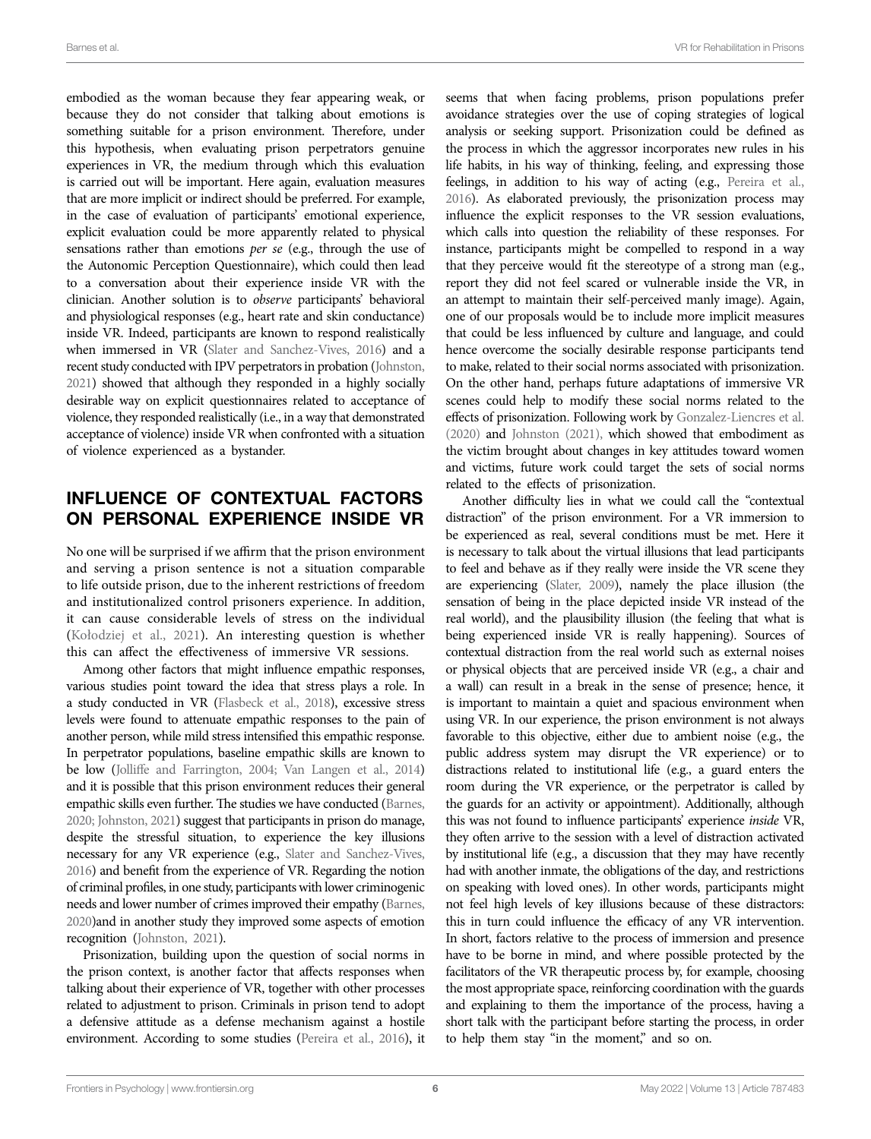embodied as the woman because they fear appearing weak, or because they do not consider that talking about emotions is something suitable for a prison environment. Therefore, under this hypothesis, when evaluating prison perpetrators genuine experiences in VR, the medium through which this evaluation is carried out will be important. Here again, evaluation measures that are more implicit or indirect should be preferred. For example, in the case of evaluation of participants' emotional experience, explicit evaluation could be more apparently related to physical sensations rather than emotions *per se* (e.g., through the use of the Autonomic Perception Questionnaire), which could then lead to a conversation about their experience inside VR with the clinician. Another solution is to *observe* participants' behavioral and physiological responses (e.g., heart rate and skin conductance) inside VR. Indeed, participants are known to respond realistically when immersed in VR [\(Slater and Sanchez-Vives, 2016\)](#page-8-1) and a recent study conducted with IPV perpetrators in probation ([Johnston,](#page-7-24)  [2021\)](#page-7-24) showed that although they responded in a highly socially desirable way on explicit questionnaires related to acceptance of violence, they responded realistically (i.e., in a way that demonstrated acceptance of violence) inside VR when confronted with a situation of violence experienced as a bystander.

# INFLUENCE OF CONTEXTUAL FACTORS ON PERSONAL EXPERIENCE INSIDE VR

No one will be surprised if we affirm that the prison environment and serving a prison sentence is not a situation comparable to life outside prison, due to the inherent restrictions of freedom and institutionalized control prisoners experience. In addition, it can cause considerable levels of stress on the individual ([Kołodziej et al., 2021\)](#page-7-34). An interesting question is whether this can affect the effectiveness of immersive VR sessions.

Among other factors that might influence empathic responses, various studies point toward the idea that stress plays a role. In a study conducted in VR [\(Flasbeck et al., 2018\)](#page-7-35), excessive stress levels were found to attenuate empathic responses to the pain of another person, while mild stress intensified this empathic response. In perpetrator populations, baseline empathic skills are known to be low [\(Jolliffe and Farrington, 2004](#page-7-4); Van Langen et al., 2014) and it is possible that this prison environment reduces their general empathic skills even further. The studies we have conducted [\(Barnes,](#page-7-25)  [2020;](#page-7-25) [Johnston, 2021](#page-7-24)) suggest that participants in prison do manage, despite the stressful situation, to experience the key illusions necessary for any VR experience (e.g., [Slater and Sanchez-Vives,](#page-8-1)  [2016\)](#page-8-1) and benefit from the experience of VR. Regarding the notion of criminal profiles, in one study, participants with lower criminogenic needs and lower number of crimes improved their empathy [\(Barnes,](#page-7-25)  [2020\)](#page-7-25)and in another study they improved some aspects of emotion recognition ([Johnston, 2021](#page-7-24)).

Prisonization, building upon the question of social norms in the prison context, is another factor that affects responses when talking about their experience of VR, together with other processes related to adjustment to prison. Criminals in prison tend to adopt a defensive attitude as a defense mechanism against a hostile environment. According to some studies ([Pereira et al., 2016\)](#page-8-26), it

seems that when facing problems, prison populations prefer avoidance strategies over the use of coping strategies of logical analysis or seeking support. Prisonization could be defined as the process in which the aggressor incorporates new rules in his life habits, in his way of thinking, feeling, and expressing those feelings, in addition to his way of acting (e.g., [Pereira et al.,](#page-8-26)  [2016](#page-8-26)). As elaborated previously, the prisonization process may influence the explicit responses to the VR session evaluations, which calls into question the reliability of these responses. For instance, participants might be compelled to respond in a way that they perceive would fit the stereotype of a strong man (e.g., report they did not feel scared or vulnerable inside the VR, in an attempt to maintain their self-perceived manly image). Again, one of our proposals would be to include more implicit measures that could be less influenced by culture and language, and could hence overcome the socially desirable response participants tend to make, related to their social norms associated with prisonization. On the other hand, perhaps future adaptations of immersive VR scenes could help to modify these social norms related to the effects of prisonization. Following work by [Gonzalez-Liencres et al.](#page-7-23)  [\(2020\)](#page-7-23) and [Johnston \(2021\)](#page-7-24), which showed that embodiment as the victim brought about changes in key attitudes toward women and victims, future work could target the sets of social norms related to the effects of prisonization.

Another difficulty lies in what we could call the "contextual distraction" of the prison environment. For a VR immersion to be experienced as real, several conditions must be met. Here it is necessary to talk about the virtual illusions that lead participants to feel and behave as if they really were inside the VR scene they are experiencing [\(Slater, 2009](#page-8-0)), namely the place illusion (the sensation of being in the place depicted inside VR instead of the real world), and the plausibility illusion (the feeling that what is being experienced inside VR is really happening). Sources of contextual distraction from the real world such as external noises or physical objects that are perceived inside VR (e.g., a chair and a wall) can result in a break in the sense of presence; hence, it is important to maintain a quiet and spacious environment when using VR. In our experience, the prison environment is not always favorable to this objective, either due to ambient noise (e.g., the public address system may disrupt the VR experience) or to distractions related to institutional life (e.g., a guard enters the room during the VR experience, or the perpetrator is called by the guards for an activity or appointment). Additionally, although this was not found to influence participants' experience *inside* VR, they often arrive to the session with a level of distraction activated by institutional life (e.g., a discussion that they may have recently had with another inmate, the obligations of the day, and restrictions on speaking with loved ones). In other words, participants might not feel high levels of key illusions because of these distractors: this in turn could influence the efficacy of any VR intervention. In short, factors relative to the process of immersion and presence have to be borne in mind, and where possible protected by the facilitators of the VR therapeutic process by, for example, choosing the most appropriate space, reinforcing coordination with the guards and explaining to them the importance of the process, having a short talk with the participant before starting the process, in order to help them stay "in the moment," and so on.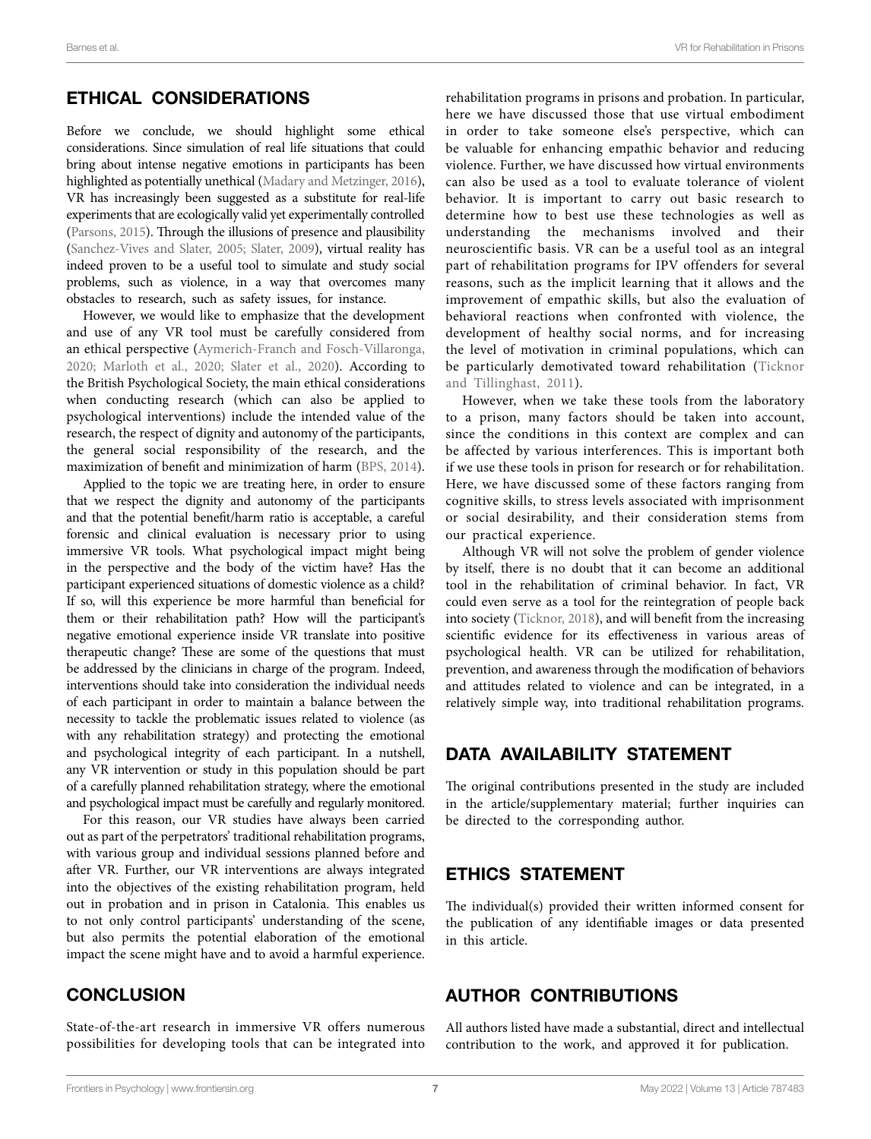## ETHICAL CONSIDERATIONS

Before we conclude, we should highlight some ethical considerations. Since simulation of real life situations that could bring about intense negative emotions in participants has been highlighted as potentially unethical ([Madary and Metzinger, 2016](#page-8-29)), VR has increasingly been suggested as a substitute for real-life experiments that are ecologically valid yet experimentally controlled ([Parsons, 2015\)](#page-8-30). Through the illusions of presence and plausibility ([Sanchez-Vives and Slater, 2005](#page-8-31); [Slater, 2009](#page-8-0)), virtual reality has indeed proven to be a useful tool to simulate and study social problems, such as violence, in a way that overcomes many obstacles to research, such as safety issues, for instance.

However, we would like to emphasize that the development and use of any VR tool must be carefully considered from an ethical perspective [\(Aymerich-Franch and Fosch-Villaronga,](#page-7-36)  [2020;](#page-7-36) [Marloth et al., 2020](#page-8-32); [Slater et al., 2020\)](#page-8-33). According to the British Psychological Society, the main ethical considerations when conducting research (which can also be applied to psychological interventions) include the intended value of the research, the respect of dignity and autonomy of the participants, the general social responsibility of the research, and the maximization of benefit and minimization of harm ([BPS, 2014](#page-7-37)).

Applied to the topic we are treating here, in order to ensure that we respect the dignity and autonomy of the participants and that the potential benefit/harm ratio is acceptable, a careful forensic and clinical evaluation is necessary prior to using immersive VR tools. What psychological impact might being in the perspective and the body of the victim have? Has the participant experienced situations of domestic violence as a child? If so, will this experience be more harmful than beneficial for them or their rehabilitation path? How will the participant's negative emotional experience inside VR translate into positive therapeutic change? These are some of the questions that must be addressed by the clinicians in charge of the program. Indeed, interventions should take into consideration the individual needs of each participant in order to maintain a balance between the necessity to tackle the problematic issues related to violence (as with any rehabilitation strategy) and protecting the emotional and psychological integrity of each participant. In a nutshell, any VR intervention or study in this population should be part of a carefully planned rehabilitation strategy, where the emotional and psychological impact must be carefully and regularly monitored.

For this reason, our VR studies have always been carried out as part of the perpetrators' traditional rehabilitation programs, with various group and individual sessions planned before and after VR. Further, our VR interventions are always integrated into the objectives of the existing rehabilitation program, held out in probation and in prison in Catalonia. This enables us to not only control participants' understanding of the scene, but also permits the potential elaboration of the emotional impact the scene might have and to avoid a harmful experience.

**CONCLUSION** 

State-of-the-art research in immersive VR offers numerous possibilities for developing tools that can be integrated into

rehabilitation programs in prisons and probation. In particular, here we have discussed those that use virtual embodiment in order to take someone else's perspective, which can be valuable for enhancing empathic behavior and reducing violence. Further, we have discussed how virtual environments can also be used as a tool to evaluate tolerance of violent behavior. It is important to carry out basic research to determine how to best use these technologies as well as understanding the mechanisms involved and their neuroscientific basis. VR can be a useful tool as an integral part of rehabilitation programs for IPV offenders for several reasons, such as the implicit learning that it allows and the improvement of empathic skills, but also the evaluation of behavioral reactions when confronted with violence, the development of healthy social norms, and for increasing the level of motivation in criminal populations, which can be particularly demotivated toward rehabilitation [\(Ticknor](#page-8-34)  [and Tillinghast, 2011\)](#page-8-34).

However, when we take these tools from the laboratory to a prison, many factors should be taken into account, since the conditions in this context are complex and can be affected by various interferences. This is important both if we use these tools in prison for research or for rehabilitation. Here, we have discussed some of these factors ranging from cognitive skills, to stress levels associated with imprisonment or social desirability, and their consideration stems from our practical experience.

Although VR will not solve the problem of gender violence by itself, there is no doubt that it can become an additional tool in the rehabilitation of criminal behavior. In fact, VR could even serve as a tool for the reintegration of people back into society [\(Ticknor, 2018\)](#page-8-35), and will benefit from the increasing scientific evidence for its effectiveness in various areas of psychological health. VR can be utilized for rehabilitation, prevention, and awareness through the modification of behaviors and attitudes related to violence and can be integrated, in a relatively simple way, into traditional rehabilitation programs.

# DATA AVAILABILITY STATEMENT

The original contributions presented in the study are included in the article/supplementary material; further inquiries can be directed to the corresponding author.

# ETHICS STATEMENT

The individual(s) provided their written informed consent for the publication of any identifiable images or data presented in this article.

# AUTHOR CONTRIBUTIONS

All authors listed have made a substantial, direct and intellectual contribution to the work, and approved it for publication.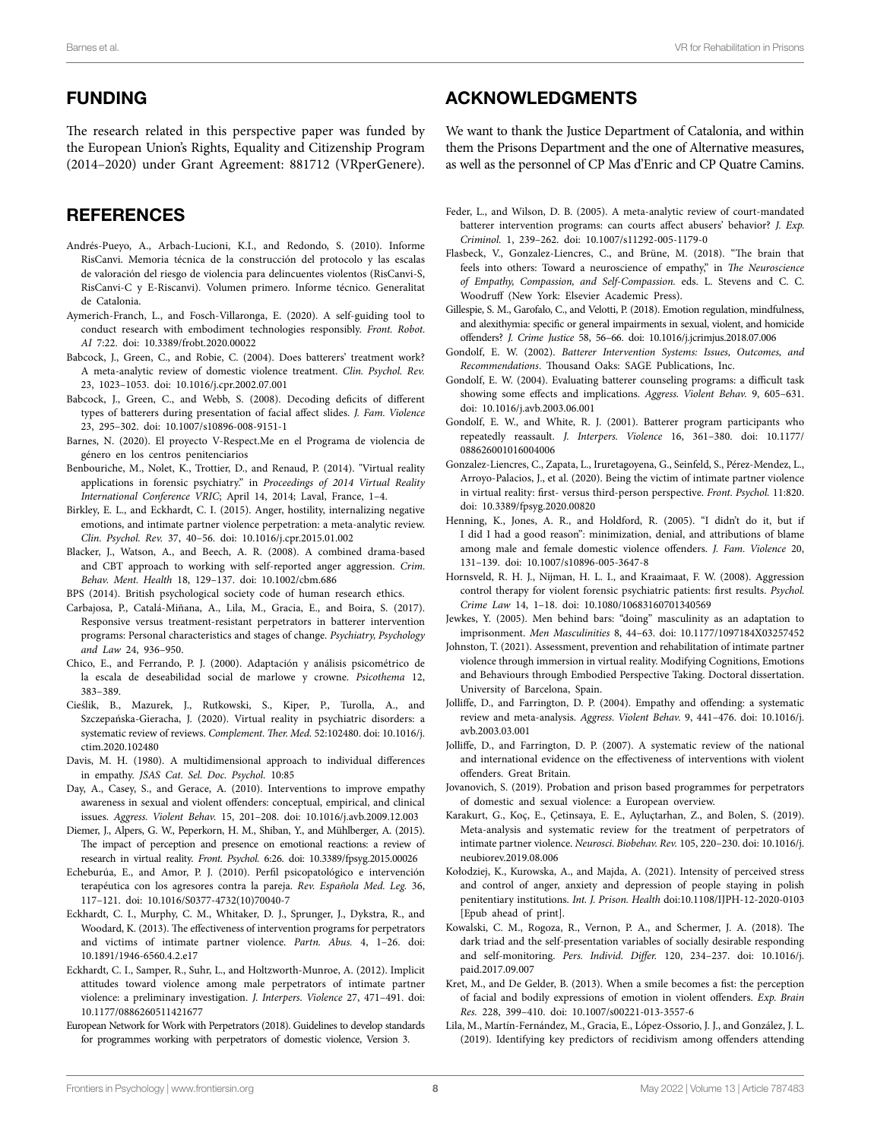# FUNDING

The research related in this perspective paper was funded by the European Union's Rights, Equality and Citizenship Program (2014–2020) under Grant Agreement: 881712 (VRperGenere).

# **REFERENCES**

- <span id="page-7-2"></span>Andrés-Pueyo, A., Arbach-Lucioni, K.I., and Redondo, S. (2010). Informe RisCanvi. Memoria técnica de la construcción del protocolo y las escalas de valoración del riesgo de violencia para delincuentes violentos (RisCanvi-S, RisCanvi-C y E-Riscanvi). Volumen primero. Informe técnico. Generalitat de Catalonia.
- <span id="page-7-36"></span>Aymerich-Franch, L., and Fosch-Villaronga, E. (2020). A self-guiding tool to conduct research with embodiment technologies responsibly. *Front. Robot. AI* 7:22. doi: [10.3389/frobt.2020.00022](https://doi.org/10.3389/frobt.2020.00022)
- <span id="page-7-10"></span>Babcock, J., Green, C., and Robie, C. (2004). Does batterers' treatment work? A meta-analytic review of domestic violence treatment. *Clin. Psychol. Rev.* 23, 1023–1053. doi: [10.1016/j.cpr.2002.07.001](https://doi.org/10.1016/j.cpr.2002.07.001)
- <span id="page-7-6"></span>Babcock, J., Green, C., and Webb, S. (2008). Decoding deficits of different types of batterers during presentation of facial affect slides. *J. Fam. Violence* 23, 295–302. doi: [10.1007/s10896-008-9151-1](https://doi.org/10.1007/s10896-008-9151-1)
- <span id="page-7-25"></span>Barnes, N. (2020). El proyecto V-Respect.Me en el Programa de violencia de género en los centros penitenciarios
- <span id="page-7-1"></span>Benbouriche, M., Nolet, K., Trottier, D., and Renaud, P. (2014). "Virtual reality applications in forensic psychiatry." in *Proceedings of 2014 Virtual Reality International Conference VRIC*; April 14, 2014; Laval, France, 1–4.
- <span id="page-7-30"></span>Birkley, E. L., and Eckhardt, C. I. (2015). Anger, hostility, internalizing negative emotions, and intimate partner violence perpetration: a meta-analytic review. *Clin. Psychol. Rev.* 37, 40–56. doi: [10.1016/j.cpr.2015.01.002](https://doi.org/10.1016/j.cpr.2015.01.002)
- <span id="page-7-18"></span>Blacker, J., Watson, A., and Beech, A. R. (2008). A combined drama-based and CBT approach to working with self-reported anger aggression. *Crim. Behav. Ment. Health* 18, 129–137. doi: [10.1002/cbm.686](https://doi.org/10.1002/cbm.686)
- <span id="page-7-37"></span>BPS (2014). British psychological society code of human research ethics.
- <span id="page-7-14"></span>Carbajosa, P., Catalá-Miñana, A., Lila, M., Gracia, E., and Boira, S. (2017). Responsive versus treatment-resistant perpetrators in batterer intervention programs: Personal characteristics and stages of change. *Psychiatry, Psychology and Law* 24, 936–950.
- <span id="page-7-26"></span>Chico, E., and Ferrando, P. J. (2000). Adaptación y análisis psicométrico de la escala de deseabilidad social de marlowe y crowne. *Psicothema* 12, 383–389.
- <span id="page-7-0"></span>Cieślik, B., Mazurek, J., Rutkowski, S., Kiper, P., Turolla, A., and Szczepańska-Gieracha, J. (2020). Virtual reality in psychiatric disorders: a systematic review of reviews. *Complement. Ther. Med.* 52:102480. doi: [10.1016/j.](https://doi.org/10.1016/j.ctim.2020.102480) [ctim.2020.102480](https://doi.org/10.1016/j.ctim.2020.102480)
- <span id="page-7-3"></span>Davis, M. H. (1980). A multidimensional approach to individual differences in empathy. *JSAS Cat. Sel. Doc. Psychol.* 10:85
- <span id="page-7-8"></span>Day, A., Casey, S., and Gerace, A. (2010). Interventions to improve empathy awareness in sexual and violent offenders: conceptual, empirical, and clinical issues. *Aggress. Violent Behav.* 15, 201–208. doi: [10.1016/j.avb.2009.12.003](https://doi.org/10.1016/j.avb.2009.12.003)
- <span id="page-7-32"></span>Diemer, J., Alpers, G. W., Peperkorn, H. M., Shiban, Y., and Mühlberger, A. (2015). The impact of perception and presence on emotional reactions: a review of research in virtual reality. *Front. Psychol.* 6:26. doi: [10.3389/fpsyg.2015.00026](https://doi.org/10.3389/fpsyg.2015.00026)
- <span id="page-7-20"></span>Echeburúa, E., and Amor, P. J. (2010). Perfil psicopatológico e intervención terapéutica con los agresores contra la pareja. *Rev. Española Med. Leg.* 36, 117–121. doi: [10.1016/S0377-4732\(10\)70040-7](https://doi.org/10.1016/S0377-4732(10)70040-7)
- <span id="page-7-12"></span>Eckhardt, C. I., Murphy, C. M., Whitaker, D. J., Sprunger, J., Dykstra, R., and Woodard, K. (2013). The effectiveness of intervention programs for perpetrators and victims of intimate partner violence. *Partn. Abus.* 4, 1–26. doi: [10.1891/1946-6560.4.2.e17](https://doi.org/10.1891/1946-6560.4.2.e17)
- <span id="page-7-28"></span>Eckhardt, C. I., Samper, R., Suhr, L., and Holtzworth-Munroe, A. (2012). Implicit attitudes toward violence among male perpetrators of intimate partner violence: a preliminary investigation. *J. Interpers. Violence* 27, 471–491. doi: [10.1177/0886260511421677](https://doi.org/10.1177/0886260511421677)
- <span id="page-7-15"></span>European Network for Work with Perpetrators (2018). Guidelines to develop standards for programmes working with perpetrators of domestic violence, Version 3.

#### ACKNOWLEDGMENTS

We want to thank the Justice Department of Catalonia, and within them the Prisons Department and the one of Alternative measures, as well as the personnel of CP Mas d'Enric and CP Quatre Camins.

- <span id="page-7-11"></span>Feder, L., and Wilson, D. B. (2005). A meta-analytic review of court-mandated batterer intervention programs: can courts affect abusers' behavior? *J. Exp. Criminol.* 1, 239–262. doi: [10.1007/s11292-005-1179-0](https://doi.org/10.1007/s11292-005-1179-0)
- <span id="page-7-35"></span>Flasbeck, V., Gonzalez-Liencres, C., and Brüne, M. (2018). "The brain that feels into others: Toward a neuroscience of empathy," in *The Neuroscience of Empathy, Compassion, and Self-Compassion.* eds. L. Stevens and C. C. Woodruff (New York: Elsevier Academic Press).
- <span id="page-7-31"></span>Gillespie, S. M., Garofalo, C., and Velotti, P. (2018). Emotion regulation, mindfulness, and alexithymia: specific or general impairments in sexual, violent, and homicide offenders? *J. Crime Justice* 58, 56–66. doi: [10.1016/j.jcrimjus.2018.07.006](https://doi.org/10.1016/j.jcrimjus.2018.07.006)
- <span id="page-7-9"></span>Gondolf, E. W. (2002). *Batterer Intervention Systems: Issues, Outcomes, and Recommendations*. Thousand Oaks: SAGE Publications, Inc.
- <span id="page-7-16"></span>Gondolf, E. W. (2004). Evaluating batterer counseling programs: a difficult task showing some effects and implications. *Aggress. Violent Behav.* 9, 605–631. doi: [10.1016/j.avb.2003.06.001](https://doi.org/10.1016/j.avb.2003.06.001)
- <span id="page-7-17"></span>Gondolf, E. W., and White, R. J. (2001). Batterer program participants who repeatedly reassault. *J. Interpers. Violence* 16, 361–380. doi: [10.1177/](https://doi.org/10.1177/088626001016004006) [088626001016004006](https://doi.org/10.1177/088626001016004006)
- <span id="page-7-23"></span>Gonzalez-Liencres, C., Zapata, L., Iruretagoyena, G., Seinfeld, S., Pérez-Mendez, L., Arroyo-Palacios, J., et al. (2020). Being the victim of intimate partner violence in virtual reality: first- versus third-person perspective. *Front. Psychol.* 11:820. doi: [10.3389/fpsyg.2020.00820](https://doi.org/10.3389/fpsyg.2020.00820)
- <span id="page-7-27"></span>Henning, K., Jones, A. R., and Holdford, R. (2005). "I didn't do it, but if I did I had a good reason": minimization, denial, and attributions of blame among male and female domestic violence offenders. *J. Fam. Violence* 20, 131–139. doi: [10.1007/s10896-005-3647-8](https://doi.org/10.1007/s10896-005-3647-8)
- <span id="page-7-19"></span>Hornsveld, R. H. J., Nijman, H. L. I., and Kraaimaat, F. W. (2008). Aggression control therapy for violent forensic psychiatric patients: first results. *Psychol. Crime Law* 14, 1–18. doi: [10.1080/10683160701340569](https://doi.org/10.1080/10683160701340569)
- <span id="page-7-33"></span>Jewkes, Y. (2005). Men behind bars: "doing" masculinity as an adaptation to imprisonment. *Men Masculinities* 8, 44–63. doi: [10.1177/1097184X03257452](https://doi.org/10.1177/1097184X03257452)
- <span id="page-7-24"></span>Johnston, T. (2021). Assessment, prevention and rehabilitation of intimate partner violence through immersion in virtual reality. Modifying Cognitions, Emotions and Behaviours through Embodied Perspective Taking. Doctoral dissertation. University of Barcelona, Spain.
- <span id="page-7-4"></span>Jolliffe, D., and Farrington, D. P. (2004). Empathy and offending: a systematic review and meta-analysis. *Aggress. Violent Behav.* 9, 441–476. doi: [10.1016/j.](https://doi.org/10.1016/j.avb.2003.03.001) [avb.2003.03.001](https://doi.org/10.1016/j.avb.2003.03.001)
- <span id="page-7-7"></span>Jolliffe, D., and Farrington, D. P. (2007). A systematic review of the national and international evidence on the effectiveness of interventions with violent offenders. Great Britain.
- <span id="page-7-21"></span>Jovanovich, S. (2019). Probation and prison based programmes for perpetrators of domestic and sexual violence: a European overview.
- <span id="page-7-13"></span>Karakurt, G., Koç, E., Çetinsaya, E. E., Ayluçtarhan, Z., and Bolen, S. (2019). Meta-analysis and systematic review for the treatment of perpetrators of intimate partner violence. *Neurosci. Biobehav. Rev.* 105, 220–230. doi: [10.1016/j.](https://doi.org/10.1016/j.neubiorev.2019.08.006) [neubiorev.2019.08.006](https://doi.org/10.1016/j.neubiorev.2019.08.006)
- <span id="page-7-34"></span>Kołodziej, K., Kurowska, A., and Majda, A. (2021). Intensity of perceived stress and control of anger, anxiety and depression of people staying in polish penitentiary institutions. *Int. J. Prison. Health* doi[:10.1108/IJPH-12-2020-0103](https://doi.org/10.1108/IJPH-12-2020-0103) [Epub ahead of print].
- <span id="page-7-29"></span>Kowalski, C. M., Rogoza, R., Vernon, P. A., and Schermer, J. A. (2018). The dark triad and the self-presentation variables of socially desirable responding and self-monitoring. *Pers. Individ. Differ.* 120, 234–237. doi: [10.1016/j.](https://doi.org/10.1016/j.paid.2017.09.007) [paid.2017.09.007](https://doi.org/10.1016/j.paid.2017.09.007)
- <span id="page-7-5"></span>Kret, M., and De Gelder, B. (2013). When a smile becomes a fist: the perception of facial and bodily expressions of emotion in violent offenders. *Exp. Brain Res.* 228, 399–410. doi: [10.1007/s00221-013-3557-6](https://doi.org/10.1007/s00221-013-3557-6)
- <span id="page-7-22"></span>Lila, M., Martín-Fernández, M., Gracia, E., López-Ossorio, J. J., and González, J. L. (2019). Identifying key predictors of recidivism among offenders attending